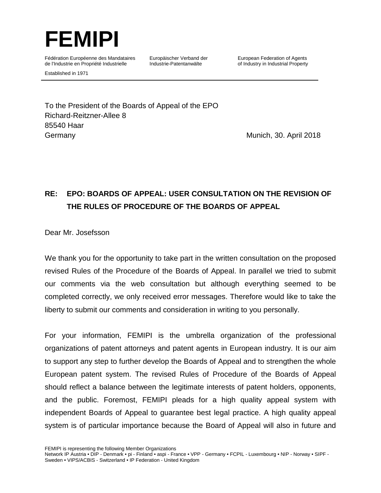

Established in 1971

Fédération Européenne des Mandataires de l'Industrie en Propriété Industrielle

Europäischer Verband der Industrie-Patentanwälte

European Federation of Agents of Industry in Industrial Property

To the President of the Boards of Appeal of the EPO Richard-Reitzner-Allee 8 85540 Haar Germany Munich, 30. April 2018

# **RE: EPO: BOARDS OF APPEAL: USER CONSULTATION ON THE REVISION OF THE RULES OF PROCEDURE OF THE BOARDS OF APPEAL**

Dear Mr. Josefsson

We thank you for the opportunity to take part in the written consultation on the proposed revised Rules of the Procedure of the Boards of Appeal. In parallel we tried to submit our comments via the web consultation but although everything seemed to be completed correctly, we only received error messages. Therefore would like to take the liberty to submit our comments and consideration in writing to you personally.

For your information, FEMIPI is the umbrella organization of the professional organizations of patent attorneys and patent agents in European industry. It is our aim to support any step to further develop the Boards of Appeal and to strengthen the whole European patent system. The revised Rules of Procedure of the Boards of Appeal should reflect a balance between the legitimate interests of patent holders, opponents, and the public. Foremost, FEMIPI pleads for a high quality appeal system with independent Boards of Appeal to guarantee best legal practice. A high quality appeal system is of particular importance because the Board of Appeal will also in future and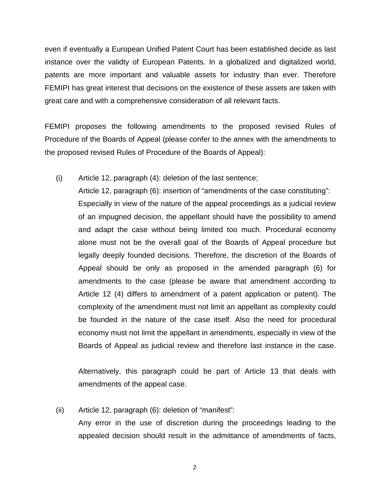even if eventually a European Unified Patent Court has been established decide as last instance over the validty of European Patents. In a globalized and digitalized world, patents are more important and valuable assets for industry than ever. Therefore FEMIPI has great interest that decisions on the existence of these assets are taken with great care and with a comprehensive consideration of all relevant facts.

FEMIPI proposes the following amendments to the proposed revised Rules of Procedure of the Boards of Appeal (please confer to the annex with the amendments to the proposed revised Rules of Procedure of the Boards of Appeal):

(i) Article 12, paragraph (4): deletion of the last sentence;

Article 12, paragraph (6): insertion of "amendments of the case constituting": Especially in view of the nature of the appeal proceedings as a judicial review of an impugned decision, the appellant should have the possibility to amend and adapt the case without being limited too much. Procedural economy alone must not be the overall goal of the Boards of Appeal procedure but legally deeply founded decisions. Therefore, the discretion of the Boards of Appeal should be only as proposed in the amended paragraph (6) for amendments to the case (please be aware that amendment according to Article 12 (4) differs to amendment of a patent application or patent). The complexity of the amendment must not limit an appellant as complexity could be founded in the nature of the case itself. Also the need for procedural economy must not limit the appellant in amendments, especially in view of the Boards of Appeal as judicial review and therefore last instance in the case.

Alternatively, this paragraph could be part of Article 13 that deals with amendments of the appeal case.

(ii) Article 12, paragraph (6): deletion of "manifest":

Any error in the use of discretion during the proceedings leading to the appealed decision should result in the admittance of amendments of facts,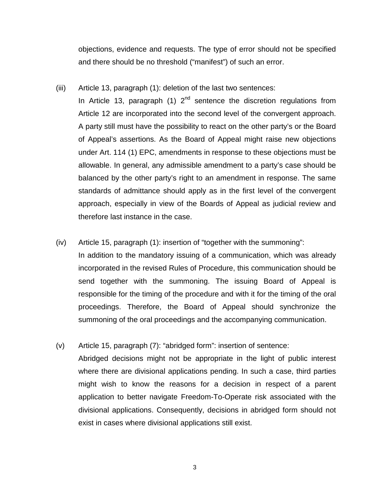objections, evidence and requests. The type of error should not be specified and there should be no threshold ("manifest") of such an error.

(iii) Article 13, paragraph (1): deletion of the last two sentences:

In Article 13, paragraph (1)  $2<sup>nd</sup>$  sentence the discretion regulations from Article 12 are incorporated into the second level of the convergent approach. A party still must have the possibility to react on the other party's or the Board of Appeal's assertions. As the Board of Appeal might raise new objections under Art. 114 (1) EPC, amendments in response to these objections must be allowable. In general, any admissible amendment to a party's case should be balanced by the other party's right to an amendment in response. The same standards of admittance should apply as in the first level of the convergent approach, especially in view of the Boards of Appeal as judicial review and therefore last instance in the case.

(iv) Article 15, paragraph (1): insertion of "together with the summoning":

In addition to the mandatory issuing of a communication, which was already incorporated in the revised Rules of Procedure, this communication should be send together with the summoning. The issuing Board of Appeal is responsible for the timing of the procedure and with it for the timing of the oral proceedings. Therefore, the Board of Appeal should synchronize the summoning of the oral proceedings and the accompanying communication.

(v) Article 15, paragraph (7): "abridged form": insertion of sentence:

Abridged decisions might not be appropriate in the light of public interest where there are divisional applications pending. In such a case, third parties might wish to know the reasons for a decision in respect of a parent application to better navigate Freedom-To-Operate risk associated with the divisional applications. Consequently, decisions in abridged form should not exist in cases where divisional applications still exist.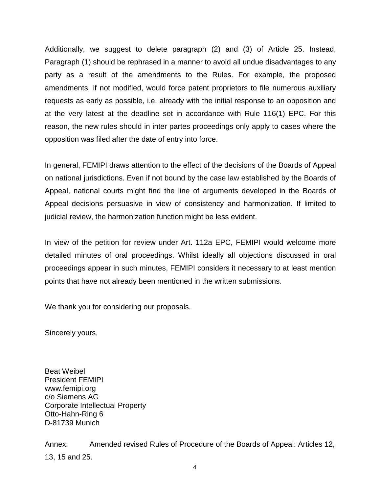Additionally, we suggest to delete paragraph (2) and (3) of Article 25. Instead, Paragraph (1) should be rephrased in a manner to avoid all undue disadvantages to any party as a result of the amendments to the Rules. For example, the proposed amendments, if not modified, would force patent proprietors to file numerous auxiliary requests as early as possible, i.e. already with the initial response to an opposition and at the very latest at the deadline set in accordance with Rule 116(1) EPC. For this reason, the new rules should in inter partes proceedings only apply to cases where the opposition was filed after the date of entry into force.

In general, FEMIPI draws attention to the effect of the decisions of the Boards of Appeal on national jurisdictions. Even if not bound by the case law established by the Boards of Appeal, national courts might find the line of arguments developed in the Boards of Appeal decisions persuasive in view of consistency and harmonization. If limited to judicial review, the harmonization function might be less evident.

In view of the petition for review under Art. 112a EPC, FEMIPI would welcome more detailed minutes of oral proceedings. Whilst ideally all objections discussed in oral proceedings appear in such minutes, FEMIPI considers it necessary to at least mention points that have not already been mentioned in the written submissions.

We thank you for considering our proposals.

Sincerely yours,

Beat Weibel President FEMIPI www.femipi.org c/o Siemens AG Corporate Intellectual Property Otto-Hahn-Ring 6 D-81739 Munich

Annex: Amended revised Rules of Procedure of the Boards of Appeal: Articles 12, 13, 15 and 25.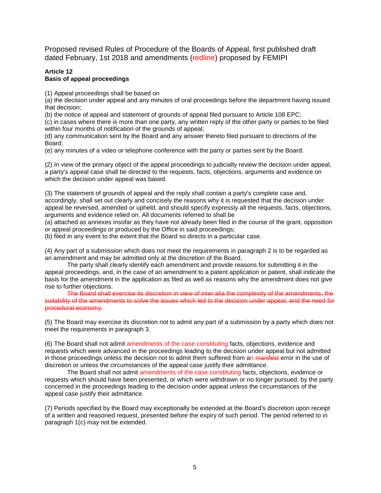Proposed revised Rules of Procedure of the Boards of Appeal, first published draft dated February, 1st 2018 and amendments (redline) proposed by FEMIPI

### **Article 12 Basis of appeal proceedings**

(1) Appeal proceedings shall be based on

(a) the decision under appeal and any minutes of oral proceedings before the department having issued that decision;

(b) the notice of appeal and statement of grounds of appeal filed pursuant to Article 108 EPC;

(c) in cases where there is more than one party, any written reply of the other party or parties to be filed within four months of notification of the grounds of appeal;

(d) any communication sent by the Board and any answer thereto filed pursuant to directions of the Board;

(e) any minutes of a video or telephone conference with the party or parties sent by the Board.

(2) In view of the primary object of the appeal proceedings to judicially review the decision under appeal, a party's appeal case shall be directed to the requests, facts, objections, arguments and evidence on which the decision under appeal was based.

(3) The statement of grounds of appeal and the reply shall contain a party's complete case and, accordingly, shall set out clearly and concisely the reasons why it is requested that the decision under appeal be reversed, amended or upheld, and should specify expressly all the requests, facts, objections, arguments and evidence relied on. All documents referred to shall be

(a) attached as annexes insofar as they have not already been filed in the course of the grant, opposition or appeal proceedings or produced by the Office in said proceedings;

(b) filed in any event to the extent that the Board so directs in a particular case.

(4) Any part of a submission which does not meet the requirements in paragraph 2 is to be regarded as an amendment and may be admitted only at the discretion of the Board.

The party shall clearly identify each amendment and provide reasons for submitting it in the appeal proceedings, and, in the case of an amendment to a patent application or patent, shall indicate the basis for the amendment in the application as filed as well as reasons why the amendment does not give rise to further objections.

The Board shall exercise its discretion in view of inter alia the complexity of the amendments, the suitability of the amendments to solve the issues which led to the decision under appeal, and the need for procedural economy.

(5) The Board may exercise its discretion not to admit any part of a submission by a party which does not meet the requirements in paragraph 3.

(6) The Board shall not admit amendments of the case constituting facts, objections, evidence and requests which were advanced in the proceedings leading to the decision under appeal but not admitted in those proceedings unless the decision not to admit them suffered from an manifest error in the use of discretion or unless the circumstances of the appeal case justify their admittance.

The Board shall not admit amendments of the case constituting facts, objections, evidence or requests which should have been presented, or which were withdrawn or no longer pursued, by the party concerned in the proceedings leading to the decision under appeal unless the circumstances of the appeal case justify their admittance.

(7) Periods specified by the Board may exceptionally be extended at the Board's discretion upon receipt of a written and reasoned request, presented before the expiry of such period. The period referred to in paragraph 1(c) may not be extended.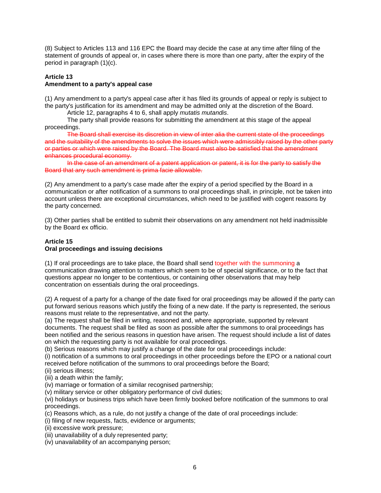(8) Subject to Articles 113 and 116 EPC the Board may decide the case at any time after filing of the statement of grounds of appeal or, in cases where there is more than one party, after the expiry of the period in paragraph (1)(c).

#### **Article 13 Amendment to a party's appeal case**

(1) Any amendment to a party's appeal case after it has filed its grounds of appeal or reply is subject to the party's justification for its amendment and may be admitted only at the discretion of the Board.

Article 12, paragraphs 4 to 6, shall apply *mutatis mutandis*.

The party shall provide reasons for submitting the amendment at this stage of the appeal proceedings.

The Board shall exercise its discretion in view of inter alia the current state of the proceedings and the suitability of the amendments to solve the issues which were admissibly raised by the other party or parties or which were raised by the Board. The Board must also be satisfied that the amendment enhances procedural economy.

In the case of an amendment of a patent application or patent, it is for the party to satisfy the Board that any such amendment is prima facie allowable.

(2) Any amendment to a party's case made after the expiry of a period specified by the Board in a communication or after notification of a summons to oral proceedings shall, in principle, not be taken into account unless there are exceptional circumstances, which need to be justified with cogent reasons by the party concerned.

(3) Other parties shall be entitled to submit their observations on any amendment not held inadmissible by the Board ex officio.

## **Article 15 Oral proceedings and issuing decisions**

(1) If oral proceedings are to take place, the Board shall send together with the summoning a communication drawing attention to matters which seem to be of special significance, or to the fact that questions appear no longer to be contentious, or containing other observations that may help concentration on essentials during the oral proceedings.

(2) A request of a party for a change of the date fixed for oral proceedings may be allowed if the party can put forward serious reasons which justify the fixing of a new date. If the party is represented, the serious reasons must relate to the representative, and not the party.

(a) The request shall be filed in writing, reasoned and, where appropriate, supported by relevant documents. The request shall be filed as soon as possible after the summons to oral proceedings has been notified and the serious reasons in question have arisen. The request should include a list of dates on which the requesting party is not available for oral proceedings.

(b) Serious reasons which may justify a change of the date for oral proceedings include:

(i) notification of a summons to oral proceedings in other proceedings before the EPO or a national court received before notification of the summons to oral proceedings before the Board;

(ii) serious illness;

(iii) a death within the family;

(iv) marriage or formation of a similar recognised partnership;

(v) military service or other obligatory performance of civil duties;

(vi) holidays or business trips which have been firmly booked before notification of the summons to oral proceedings.

(c) Reasons which, as a rule, do not justify a change of the date of oral proceedings include:

- (i) filing of new requests, facts, evidence or arguments;
- (ii) excessive work pressure;
- (iii) unavailability of a duly represented party;
- (iv) unavailability of an accompanying person;